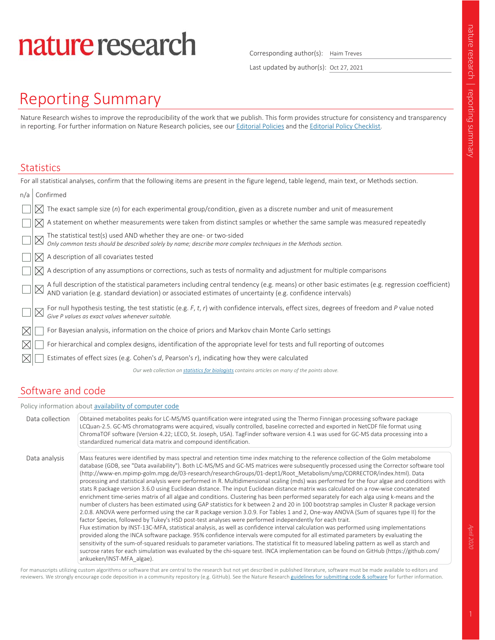# nature research

Corresponding author(s): Haim Treves

Last updated by author(s): Oct 27, 2021

## Reporting Summary

Nature Research wishes to improve the reproducibility of the work that we publish. This form provides structure for consistency and transparency in reporting. For further information on Nature Research policies, see our Editorial Policies and the Editorial Policy Checklist.

#### **Statistics**

|             | For all statistical analyses, confirm that the following items are present in the figure legend, table legend, main text, or Methods section.                                                                                  |
|-------------|--------------------------------------------------------------------------------------------------------------------------------------------------------------------------------------------------------------------------------|
| n/a         | Confirmed                                                                                                                                                                                                                      |
|             | The exact sample size $(n)$ for each experimental group/condition, given as a discrete number and unit of measurement                                                                                                          |
|             | A statement on whether measurements were taken from distinct samples or whether the same sample was measured repeatedly                                                                                                        |
|             | The statistical test(s) used AND whether they are one- or two-sided<br>Only common tests should be described solely by name; describe more complex techniques in the Methods section.                                          |
|             | A description of all covariates tested                                                                                                                                                                                         |
|             | A description of any assumptions or corrections, such as tests of normality and adjustment for multiple comparisons                                                                                                            |
|             | A full description of the statistical parameters including central tendency (e.g. means) or other basic estimates (e.g. regression coefficient) AND variation (e.g. standard deviation) or associated estimates of uncertainty |
|             | For null hypothesis testing, the test statistic (e.g. $F$ , $t$ , $r$ ) with confidence intervals, effect sizes, degrees of freedom and $P$ value noted<br>Give P values as exact values whenever suitable.                    |
| $\boxtimes$ | For Bayesian analysis, information on the choice of priors and Markov chain Monte Carlo settings                                                                                                                               |
| ⋉           | For hierarchical and complex designs, identification of the appropriate level for tests and full reporting of outcomes                                                                                                         |
|             | Estimates of effect sizes (e.g. Cohen's d, Pearson's $r$ ), indicating how they were calculated                                                                                                                                |
|             | Our web collection on statistics for biologists contains articles on many of the points above.                                                                                                                                 |
|             |                                                                                                                                                                                                                                |

### Software and code

Policy information about availability of computer code

| Data collection | Obtained metabolites peaks for LC-MS/MS quantification were integrated using the Thermo Finnigan processing software package<br>LCQuan-2.5. GC-MS chromatograms were acquired, visually controlled, baseline corrected and exported in NetCDF file format using<br>ChromaTOF software (Version 4.22; LECO, St. Joseph, USA). TagFinder software version 4.1 was used for GC-MS data processing into a<br>standardized numerical data matrix and compound identification.                                                                                                                                                                                                                                                                                                                                                                                                                                                                                                                                                                                                                                                                                                                                                                                                                                                                                                                                                                                                                                                                                                                                                                                                                                                                                                                                                                     |
|-----------------|----------------------------------------------------------------------------------------------------------------------------------------------------------------------------------------------------------------------------------------------------------------------------------------------------------------------------------------------------------------------------------------------------------------------------------------------------------------------------------------------------------------------------------------------------------------------------------------------------------------------------------------------------------------------------------------------------------------------------------------------------------------------------------------------------------------------------------------------------------------------------------------------------------------------------------------------------------------------------------------------------------------------------------------------------------------------------------------------------------------------------------------------------------------------------------------------------------------------------------------------------------------------------------------------------------------------------------------------------------------------------------------------------------------------------------------------------------------------------------------------------------------------------------------------------------------------------------------------------------------------------------------------------------------------------------------------------------------------------------------------------------------------------------------------------------------------------------------------|
| Data analysis   | Mass features were identified by mass spectral and retention time index matching to the reference collection of the Golm metabolome<br>database (GDB, see "Data availability"). Both LC-MS/MS and GC-MS matrices were subsequently processed using the Corrector software tool<br>(http://www-en.mpimp-golm.mpg.de/03-research/researchGroups/01-dept1/Root Metabolism/smp/CORRECTOR/index.html). Data<br>processing and statistical analysis were performed in R. Multidimensional scaling (mds) was performed for the four algae and conditions with<br>stats R package version 3.6.0 using Euclidean distance. The input Euclidean distance matrix was calculated on a row-wise concatenated<br>enrichment time-series matrix of all algae and conditions. Clustering has been performed separately for each alga using k-means and the<br>number of clusters has been estimated using GAP statistics for k between 2 and 20 in 100 bootstrap samples in Cluster R package version<br>2.0.8. ANOVA were performed using the car R package version 3.0.9. For Tables 1 and 2, One-way ANOVA (Sum of squares type II) for the<br>factor Species, followed by Tukey's HSD post-test analyses were performed independently for each trait.<br>Flux estimation by INST-13C-MFA, statistical analysis, as well as confidence interval calculation was performed using implementations<br>provided along the INCA software package. 95% confidence intervals were computed for all estimated parameters by evaluating the<br>sensitivity of the sum-of-squared residuals to parameter variations. The statistical fit to measured labeling pattern as well as starch and<br>sucrose rates for each simulation was evaluated by the chi-square test. INCA implementation can be found on GitHub (https://github.com/<br>ankueken/INST-MFA algae). |

For manuscripts utilizing custom algorithms or software that are central to the research but not yet described in published literature, software must be made available to editors and reviewers. We strongly encourage code deposition in a community repository (e.g. GitHub). See the Nature Research guidelines for submitting code & software for further information.